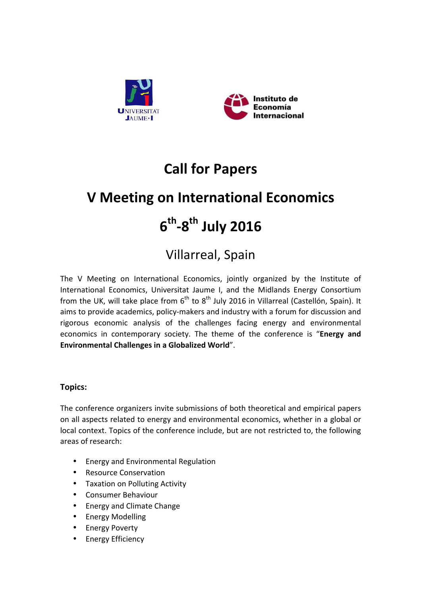



# **Call for Papers**

# **V** Meeting on International Economics

# **6th-8th July 2016**

# **Villarreal, Spain**

The V Meeting on International Economics, jointly organized by the Institute of International Economics, Universitat Jaume I, and the Midlands Energy Consortium from the UK, will take place from  $6<sup>th</sup>$  to  $8<sup>th</sup>$  July 2016 in Villarreal (Castellón, Spain). It aims to provide academics, policy-makers and industry with a forum for discussion and rigorous economic analysis of the challenges facing energy and environmental economics in contemporary society. The theme of the conference is "**Energy and Environmental Challenges in a Globalized World".** 

# **Topics:**

The conference organizers invite submissions of both theoretical and empirical papers on all aspects related to energy and environmental economics, whether in a global or local context. Topics of the conference include, but are not restricted to, the following areas of research:

- Energy and Environmental Regulation
- Resource Conservation
- Taxation on Polluting Activity
- Consumer Behaviour
- Energy and Climate Change
- Energy Modelling
- **Energy Poverty**
- Energy Efficiency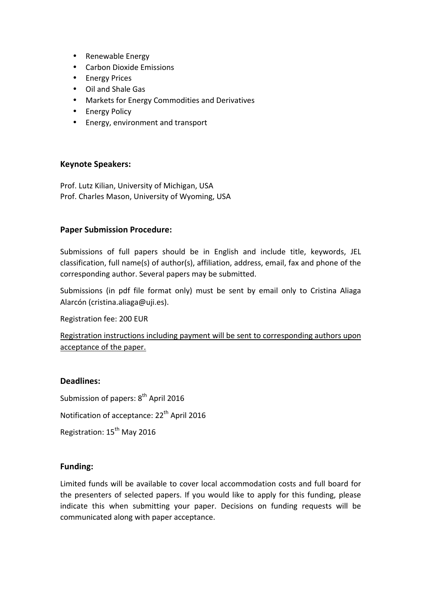- Renewable Energy
- Carbon Dioxide Emissions
- Energy Prices
- Oil and Shale Gas
- Markets for Energy Commodities and Derivatives
- Energy Policy
- Energy, environment and transport

#### **Keynote Speakers:**

Prof. Lutz Kilian, University of Michigan, USA Prof. Charles Mason, University of Wyoming, USA

#### **Paper Submission Procedure:**

Submissions of full papers should be in English and include title, keywords, JEL classification, full name(s) of author(s), affiliation, address, email, fax and phone of the corresponding author. Several papers may be submitted.

Submissions (in pdf file format only) must be sent by email only to Cristina Aliaga Alarcón (cristina.aliaga@uji.es).

Registration fee: 200 EUR

Registration instructions including payment will be sent to corresponding authors upon acceptance of the paper.

#### **Deadlines:**

Submission of papers:  $8<sup>th</sup>$  April 2016

Notification of acceptance: 22<sup>th</sup> April 2016

Registration: 15<sup>th</sup> May 2016

### **Funding:**

Limited funds will be available to cover local accommodation costs and full board for the presenters of selected papers. If you would like to apply for this funding, please indicate this when submitting your paper. Decisions on funding requests will be communicated along with paper acceptance.